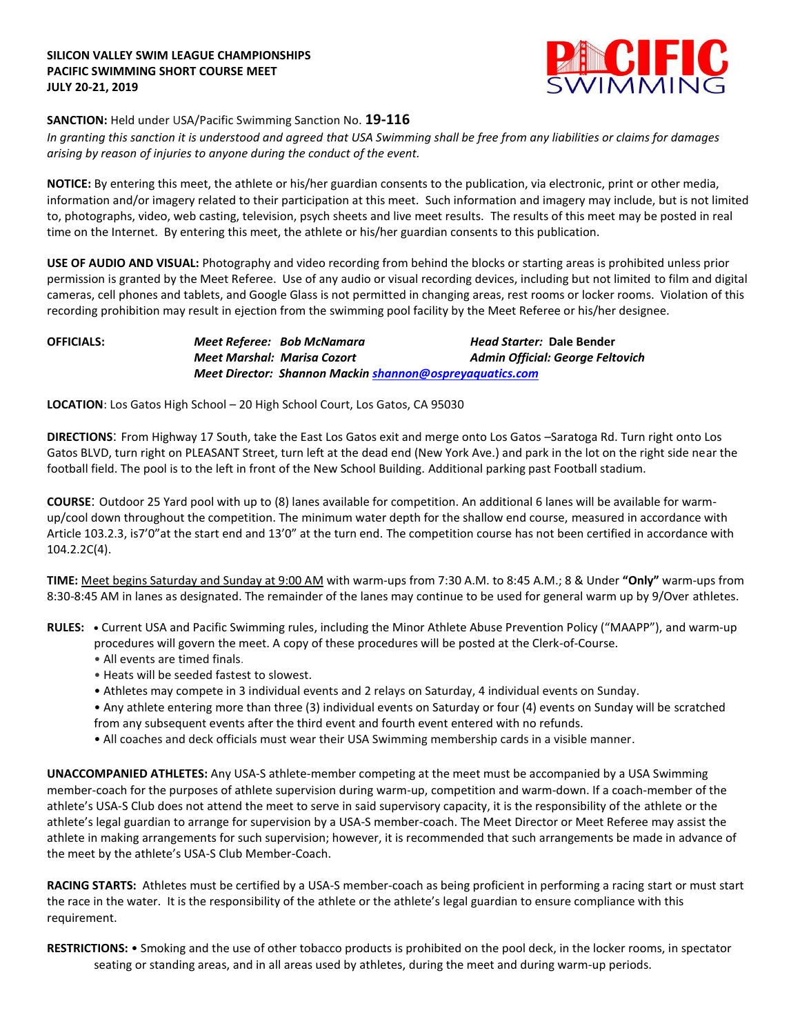### **SILICON VALLEY SWIM LEAGUE CHAMPIONSHIPS PACIFIC SWIMMING SHORT COURSE MEET JULY 20-21, 2019**



## **SANCTION:** Held under USA/Pacific Swimming Sanction No. **19-116**

*In granting this sanction it is understood and agreed that USA Swimming shall be free from any liabilities or claims for damages arising by reason of injuries to anyone during the conduct of the event.* 

**NOTICE:** By entering this meet, the athlete or his/her guardian consents to the publication, via electronic, print or other media, information and/or imagery related to their participation at this meet. Such information and imagery may include, but is not limited to, photographs, video, web casting, television, psych sheets and live meet results. The results of this meet may be posted in real time on the Internet. By entering this meet, the athlete or his/her guardian consents to this publication.

**USE OF AUDIO AND VISUAL:** Photography and video recording from behind the blocks or starting areas is prohibited unless prior permission is granted by the Meet Referee. Use of any audio or visual recording devices, including but not limited to film and digital cameras, cell phones and tablets, and Google Glass is not permitted in changing areas, rest rooms or locker rooms. Violation of this recording prohibition may result in ejection from the swimming pool facility by the Meet Referee or his/her designee.

**OFFICIALS:** *Meet Referee: Bob McNamara Head Starter:* **Dale Bender** *Meet Marshal: Marisa Cozort Admin Official: George Feltovich Meet Director: Shannon Mackin [shannon@ospreyaquatics.com](mailto:shannon@ospreyaquatics.com)*

**LOCATION**: Los Gatos High School – 20 High School Court, Los Gatos, CA 95030

**DIRECTIONS**: From Highway 17 South, take the East Los Gatos exit and merge onto Los Gatos –Saratoga Rd. Turn right onto Los Gatos BLVD, turn right on PLEASANT Street, turn left at the dead end (New York Ave.) and park in the lot on the right side near the football field. The pool is to the left in front of the New School Building. Additional parking past Football stadium.

**COURSE**: Outdoor 25 Yard pool with up to (8) lanes available for competition. An additional 6 lanes will be available for warmup/cool down throughout the competition. The minimum water depth for the shallow end course, measured in accordance with Article 103.2.3, is7'0"at the start end and 13'0" at the turn end. The competition course has not been certified in accordance with 104.2.2C(4).

**TIME:** Meet begins Saturday and Sunday at 9:00 AM with warm-ups from 7:30 A.M. to 8:45 A.M.; 8 & Under **"Only"** warm-ups from 8:30-8:45 AM in lanes as designated. The remainder of the lanes may continue to be used for general warm up by 9/Over athletes.

**RULES: •** Current USA and Pacific Swimming rules, including the Minor Athlete Abuse Prevention Policy ("MAAPP"), and warm-up procedures will govern the meet. A copy of these procedures will be posted at the Clerk-of-Course.

- All events are timed finals.
- Heats will be seeded fastest to slowest.
- Athletes may compete in 3 individual events and 2 relays on Saturday, 4 individual events on Sunday.
- Any athlete entering more than three (3) individual events on Saturday or four (4) events on Sunday will be scratched from any subsequent events after the third event and fourth event entered with no refunds.
- All coaches and deck officials must wear their USA Swimming membership cards in a visible manner.

**UNACCOMPANIED ATHLETES:** Any USA-S athlete-member competing at the meet must be accompanied by a USA Swimming member-coach for the purposes of athlete supervision during warm-up, competition and warm-down. If a coach-member of the athlete's USA-S Club does not attend the meet to serve in said supervisory capacity, it is the responsibility of the athlete or the athlete's legal guardian to arrange for supervision by a USA-S member-coach. The Meet Director or Meet Referee may assist the athlete in making arrangements for such supervision; however, it is recommended that such arrangements be made in advance of the meet by the athlete's USA-S Club Member-Coach.

**RACING STARTS:** Athletes must be certified by a USA-S member-coach as being proficient in performing a racing start or must start the race in the water. It is the responsibility of the athlete or the athlete's legal guardian to ensure compliance with this requirement.

**RESTRICTIONS:** • Smoking and the use of other tobacco products is prohibited on the pool deck, in the locker rooms, in spectator seating or standing areas, and in all areas used by athletes, during the meet and during warm-up periods.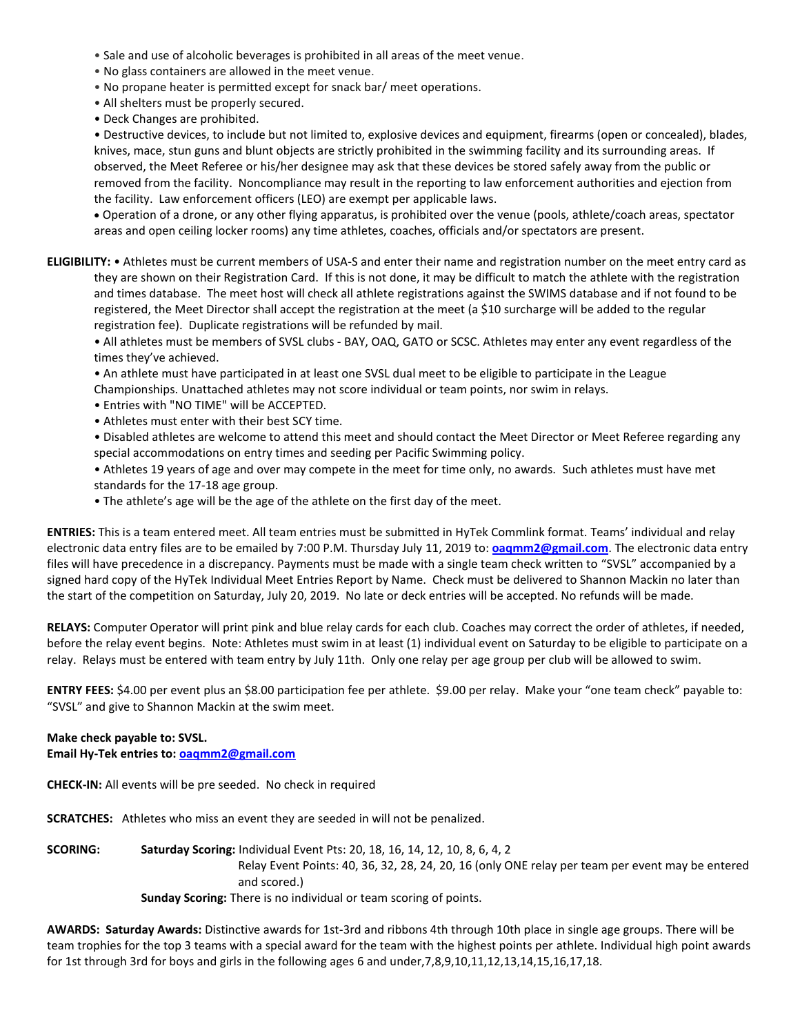- Sale and use of alcoholic beverages is prohibited in all areas of the meet venue.
- No glass containers are allowed in the meet venue.
- No propane heater is permitted except for snack bar/ meet operations.
- All shelters must be properly secured.
- Deck Changes are prohibited.

• Destructive devices, to include but not limited to, explosive devices and equipment, firearms (open or concealed), blades, knives, mace, stun guns and blunt objects are strictly prohibited in the swimming facility and its surrounding areas. If observed, the Meet Referee or his/her designee may ask that these devices be stored safely away from the public or removed from the facility. Noncompliance may result in the reporting to law enforcement authorities and ejection from the facility. Law enforcement officers (LEO) are exempt per applicable laws.

 Operation of a drone, or any other flying apparatus, is prohibited over the venue (pools, athlete/coach areas, spectator areas and open ceiling locker rooms) any time athletes, coaches, officials and/or spectators are present.

**ELIGIBILITY:** • Athletes must be current members of USA-S and enter their name and registration number on the meet entry card as they are shown on their Registration Card. If this is not done, it may be difficult to match the athlete with the registration and times database. The meet host will check all athlete registrations against the SWIMS database and if not found to be registered, the Meet Director shall accept the registration at the meet (a \$10 surcharge will be added to the regular registration fee). Duplicate registrations will be refunded by mail.

• All athletes must be members of SVSL clubs - BAY, OAQ, GATO or SCSC. Athletes may enter any event regardless of the times they've achieved.

• An athlete must have participated in at least one SVSL dual meet to be eligible to participate in the League

Championships. Unattached athletes may not score individual or team points, nor swim in relays.

- Entries with "NO TIME" will be ACCEPTED.
- Athletes must enter with their best SCY time.
- Disabled athletes are welcome to attend this meet and should contact the Meet Director or Meet Referee regarding any special accommodations on entry times and seeding per Pacific Swimming policy.
- Athletes 19 years of age and over may compete in the meet for time only, no awards. Such athletes must have met standards for the 17-18 age group.
- The athlete's age will be the age of the athlete on the first day of the meet.

**ENTRIES:** This is a team entered meet. All team entries must be submitted in HyTek Commlink format. Teams' individual and relay electronic data entry files are to be emailed by 7:00 P.M. Thursday July 11, 2019 to: **[oaqmm2@gmail.com](mailto:oaqmm2@gmail.com)**. The electronic data entry files will have precedence in a discrepancy. Payments must be made with a single team check written to "SVSL" accompanied by a signed hard copy of the HyTek Individual Meet Entries Report by Name. Check must be delivered to Shannon Mackin no later than the start of the competition on Saturday, July 20, 2019. No late or deck entries will be accepted. No refunds will be made.

**RELAYS:** Computer Operator will print pink and blue relay cards for each club. Coaches may correct the order of athletes, if needed, before the relay event begins. Note: Athletes must swim in at least (1) individual event on Saturday to be eligible to participate on a relay. Relays must be entered with team entry by July 11th. Only one relay per age group per club will be allowed to swim.

**ENTRY FEES:** \$4.00 per event plus an \$8.00 participation fee per athlete. \$9.00 per relay. Make your "one team check" payable to: "SVSL" and give to Shannon Mackin at the swim meet.

**Make check payable to: SVSL. Email Hy-Tek entries to: [oaqmm2@gmail.com](mailto:oaqmm2@gmail.com)**

**CHECK-IN:** All events will be pre seeded. No check in required

**SCRATCHES:** Athletes who miss an event they are seeded in will not be penalized.

**SCORING: Saturday Scoring:** Individual Event Pts: 20, 18, 16, 14, 12, 10, 8, 6, 4, 2 Relay Event Points: 40, 36, 32, 28, 24, 20, 16 (only ONE relay per team per event may be entered and scored.)

**Sunday Scoring:** There is no individual or team scoring of points.

**AWARDS: Saturday Awards:** Distinctive awards for 1st-3rd and ribbons 4th through 10th place in single age groups. There will be team trophies for the top 3 teams with a special award for the team with the highest points per athlete. Individual high point awards for 1st through 3rd for boys and girls in the following ages 6 and under,7,8,9,10,11,12,13,14,15,16,17,18.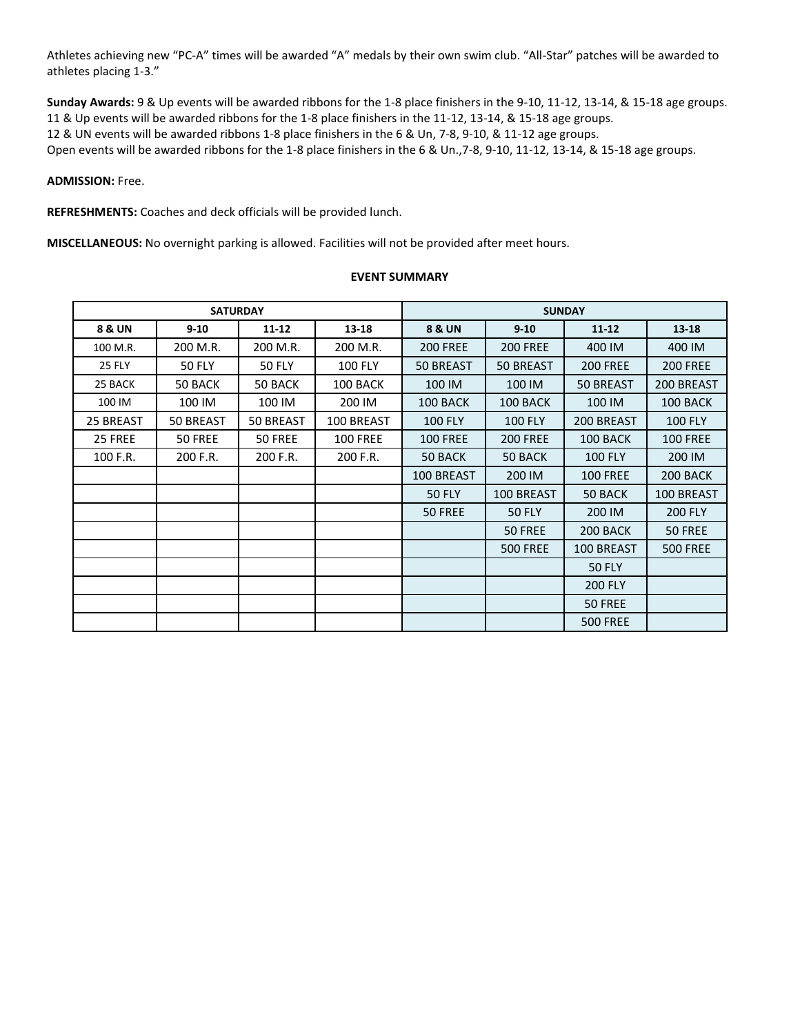Athletes achieving new "PC-A" times will be awarded "A" medals by their own swim club. "All-Star" patches will be awarded to athletes placing 1-3."

**Sunday Awards:** 9 & Up events will be awarded ribbons for the 1-8 place finishers in the 9-10, 11-12, 13-14, & 15-18 age groups. 11 & Up events will be awarded ribbons for the 1-8 place finishers in the 11-12, 13-14, & 15-18 age groups. 12 & UN events will be awarded ribbons 1-8 place finishers in the 6 & Un, 7-8, 9-10, & 11-12 age groups. Open events will be awarded ribbons for the 1-8 place finishers in the 6 & Un.,7-8, 9-10, 11-12, 13-14, & 15-18 age groups.

**ADMISSION:** Free.

**REFRESHMENTS:** Coaches and deck officials will be provided lunch.

**MISCELLANEOUS:** No overnight parking is allowed. Facilities will not be provided after meet hours.

### **EVENT SUMMARY**

| <b>SATURDAY</b>   |               |               | <b>SUNDAY</b>   |                   |                 |                 |                 |
|-------------------|---------------|---------------|-----------------|-------------------|-----------------|-----------------|-----------------|
| <b>8 &amp; UN</b> | $9 - 10$      | $11 - 12$     | $13 - 18$       | <b>8 &amp; UN</b> | $9 - 10$        | $11 - 12$       | $13 - 18$       |
| 100 M.R.          | 200 M.R.      | 200 M.R.      | 200 M.R.        | <b>200 FREE</b>   | <b>200 FREE</b> | 400 IM          | 400 IM          |
| <b>25 FLY</b>     | <b>50 FLY</b> | <b>50 FLY</b> | <b>100 FLY</b>  | 50 BREAST         | 50 BREAST       | <b>200 FREE</b> | <b>200 FREE</b> |
| 25 BACK           | 50 BACK       | 50 BACK       | 100 BACK        | 100 IM            | 100 IM          | 50 BREAST       | 200 BREAST      |
| 100 IM            | 100 IM        | 100 IM        | 200 IM          | 100 BACK          | 100 BACK        | 100 IM          | 100 BACK        |
| 25 BREAST         | 50 BREAST     | 50 BREAST     | 100 BREAST      | <b>100 FLY</b>    | <b>100 FLY</b>  | 200 BREAST      | <b>100 FLY</b>  |
| 25 FREE           | 50 FREE       | 50 FREE       | <b>100 FREE</b> | <b>100 FREE</b>   | <b>200 FREE</b> | 100 BACK        | <b>100 FREE</b> |
| 100 F.R.          | 200 F.R.      | 200 F.R.      | 200 F.R.        | 50 BACK           | 50 BACK         | <b>100 FLY</b>  | 200 IM          |
|                   |               |               |                 | 100 BREAST        | 200 IM          | <b>100 FREE</b> | 200 BACK        |
|                   |               |               |                 | <b>50 FLY</b>     | 100 BREAST      | 50 BACK         | 100 BREAST      |
|                   |               |               |                 | 50 FREE           | <b>50 FLY</b>   | 200 IM          | <b>200 FLY</b>  |
|                   |               |               |                 |                   | 50 FREE         | 200 BACK        | 50 FREE         |
|                   |               |               |                 |                   | <b>500 FREE</b> | 100 BREAST      | <b>500 FREE</b> |
|                   |               |               |                 |                   |                 | <b>50 FLY</b>   |                 |
|                   |               |               |                 |                   |                 | <b>200 FLY</b>  |                 |
|                   |               |               |                 |                   |                 | <b>50 FREE</b>  |                 |
|                   |               |               |                 |                   |                 | <b>500 FREE</b> |                 |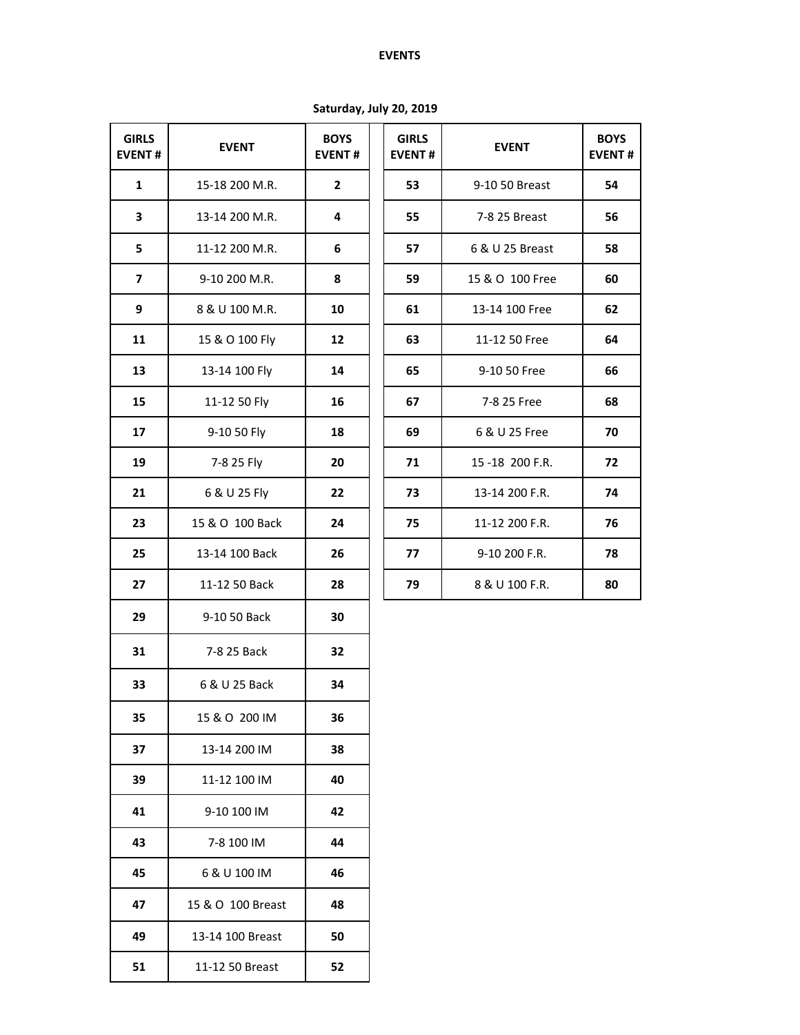# **EVENTS**

**Saturday, July 20, 2019**

| <b>GIRLS</b><br><b>EVENT#</b> | <b>EVENT</b>      | <b>BOYS</b><br><b>EVENT#</b> | <b>GIRLS</b><br><b>EVENT#</b> | <b>EVENT</b>    | <b>BOY</b><br><b>EVEN</b> |
|-------------------------------|-------------------|------------------------------|-------------------------------|-----------------|---------------------------|
| $\mathbf{1}$                  | 15-18 200 M.R.    | $\mathbf{2}$                 | 53                            | 9-10 50 Breast  | 54                        |
| 3                             | 13-14 200 M.R.    | 4                            | 55                            | 7-8 25 Breast   | 56                        |
| 5                             | 11-12 200 M.R.    | 6                            | 57                            | 6 & U 25 Breast | 58                        |
| $\overline{ }$                | 9-10 200 M.R.     | 8                            | 59                            | 15 & O 100 Free | 60                        |
| 9                             | 8 & U 100 M.R.    | 10                           | 61                            | 13-14 100 Free  | 62                        |
| 11                            | 15 & O 100 Fly    | 12                           | 63                            | 11-12 50 Free   | 64                        |
| 13                            | 13-14 100 Fly     | 14                           | 65                            | 9-10 50 Free    | 66                        |
| 15                            | 11-12 50 Fly      | 16                           | 67                            | 7-8 25 Free     | 68                        |
| 17                            | 9-10 50 Fly       | 18                           | 69                            | 6 & U 25 Free   | 70                        |
| 19                            | 7-8 25 Fly        | 20                           | 71                            | 15-18 200 F.R.  | 72                        |
| 21                            | 6 & U 25 Fly      | 22                           | 73                            | 13-14 200 F.R.  | 74                        |
| 23                            | 15 & O 100 Back   | 24                           | 75                            | 11-12 200 F.R.  | 76                        |
| 25                            | 13-14 100 Back    | 26                           | 77                            | 9-10 200 F.R.   | 78                        |
| 27                            | 11-12 50 Back     | 28                           | 79                            | 8 & U 100 F.R.  | 80                        |
| 29                            | 9-10 50 Back      | 30                           |                               |                 |                           |
| 31                            | 7-8 25 Back       | 32                           |                               |                 |                           |
| 33                            | 6 & U 25 Back     | 34                           |                               |                 |                           |
| 35                            | 15 & O 200 IM     | 36                           |                               |                 |                           |
| 37                            | 13-14 200 IM      | 38                           |                               |                 |                           |
| 39                            | 11-12 100 IM      | 40                           |                               |                 |                           |
| 41                            | 9-10 100 IM       | 42                           |                               |                 |                           |
| 43                            | 7-8 100 IM        | 44                           |                               |                 |                           |
| 45                            | 6 & U 100 IM      | 46                           |                               |                 |                           |
| 47                            | 15 & O 100 Breast | 48                           |                               |                 |                           |
| 49                            | 13-14 100 Breast  | 50                           |                               |                 |                           |
| 51                            | 11-12 50 Breast   | 52                           |                               |                 |                           |
|                               |                   |                              |                               |                 |                           |

| <b>GIRLS</b><br><b>EVENT#</b> | <b>EVENT</b>    | <b>BOYS</b><br><b>EVENT#</b> |
|-------------------------------|-----------------|------------------------------|
| 53                            | 9-10 50 Breast  | 54                           |
| 55                            | 7-8 25 Breast   | 56                           |
| 57                            | 6 & U 25 Breast | 58                           |
| 59                            | 15 & O 100 Free | 60                           |
| 61                            | 13-14 100 Free  | 62                           |
| 63                            | 11-12 50 Free   | 64                           |
| 65                            | 9-10 50 Free    | 66                           |
| 67                            | 7-8 25 Free     | 68                           |
| 69                            | 6 & U 25 Free   | 70                           |
| 71                            | 15-18 200 F.R.  | 72                           |
| 73                            | 13-14 200 F.R.  | 74                           |
| 75                            | 11-12 200 F.R.  | 76                           |
| 77                            | 9-10 200 F.R.   | 78                           |
| 79                            | 8 & U 100 F.R.  | 80                           |